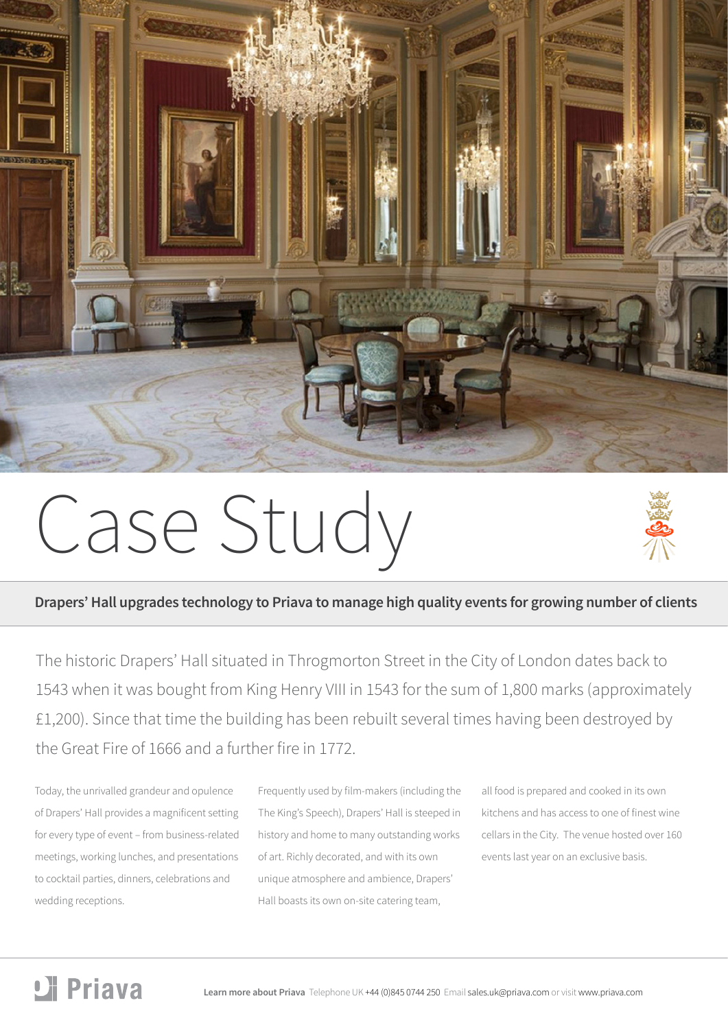

# Case Study



The historic Drapers' Hall situated in Throgmorton Street in the City of London dates back to 1543 when it was bought from King Henry VIII in 1543 for the sum of 1,800 marks (approximately £1,200). Since that time the building has been rebuilt several times having been destroyed by the Great Fire of 1666 and a further fire in 1772.

Today, the unrivalled grandeur and opulence of Drapers' Hall provides a magnificent setting for every type of event – from business-related meetings, working lunches, and presentations to cocktail parties, dinners, celebrations and wedding receptions.

Frequently used by film-makers (including the The King's Speech), Drapers' Hall is steeped in history and home to many outstanding works of art. Richly decorated, and with its own unique atmosphere and ambience, Drapers' Hall boasts its own on-site catering team,

all food is prepared and cooked in its own kitchens and has access to one of finest wine cellars in the City. The venue hosted over 160 events last year on an exclusive basis.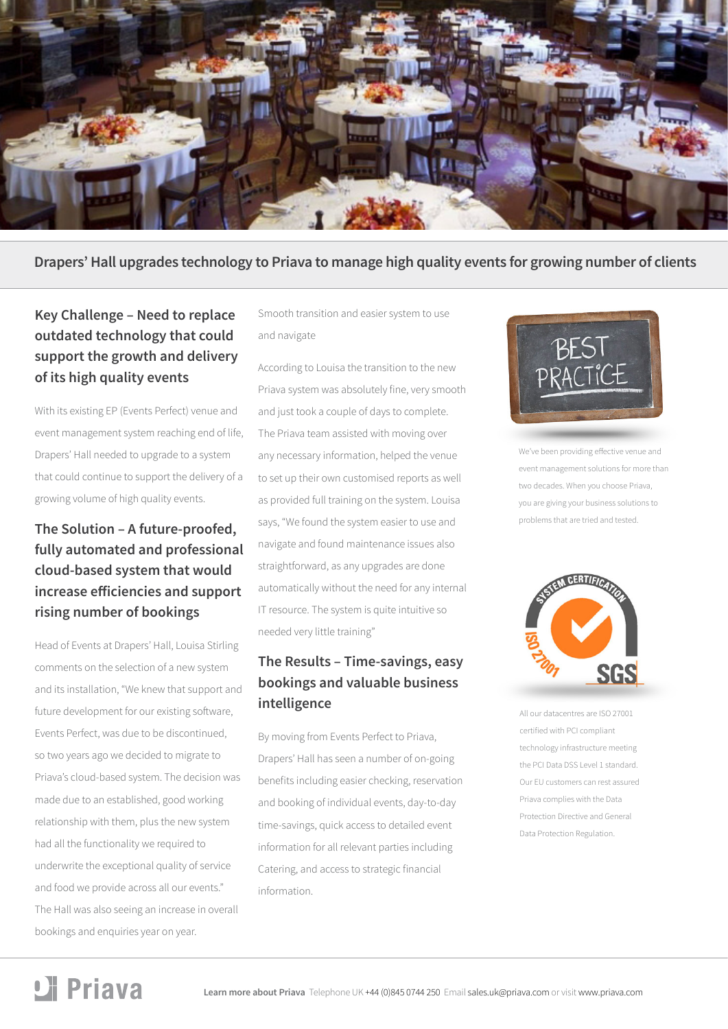

**Drapers' Hall upgrades technology to Priava to manage high quality events for growing number of clients**

## **Key Challenge – Need to replace outdated technology that could support the growth and delivery of its high quality events**

With its existing EP (Events Perfect) venue and event management system reaching end of life, Drapers' Hall needed to upgrade to a system that could continue to support the delivery of a growing volume of high quality events.

## **The Solution – A future-proofed, fully automated and professional cloud-based system that would increase efficiencies and support rising number of bookings**

Head of Events at Drapers' Hall, Louisa Stirling comments on the selection of a new system and its installation, "We knew that support and future development for our existing software, Events Perfect, was due to be discontinued, so two years ago we decided to migrate to Priava's cloud-based system. The decision was made due to an established, good working relationship with them, plus the new system had all the functionality we required to underwrite the exceptional quality of service and food we provide across all our events." The Hall was also seeing an increase in overall bookings and enquiries year on year.

Smooth transition and easier system to use and navigate

According to Louisa the transition to the new Priava system was absolutely fine, very smooth and just took a couple of days to complete. The Priava team assisted with moving over any necessary information, helped the venue to set up their own customised reports as well as provided full training on the system. Louisa says, "We found the system easier to use and navigate and found maintenance issues also straightforward, as any upgrades are done automatically without the need for any internal IT resource. The system is quite intuitive so needed very little training"

## **The Results – Time-savings, easy bookings and valuable business intelligence**

By moving from Events Perfect to Priava, Drapers' Hall has seen a number of on-going benefits including easier checking, reservation and booking of individual events, day-to-day time-savings, quick access to detailed event information for all relevant parties including Catering, and access to strategic financial information.



We've been providing effective venue and event management solutions for more than two decades. When you choose Priava, you are giving your business solutions to problems that are tried and tested.



All our datacentres are ISO 27001 certified with PCI compliant technology infrastructure meeting the PCI Data DSS Level 1 standard. Our EU customers can rest assured Priava complies with the Data Protection Directive and General Data Protection Regulation.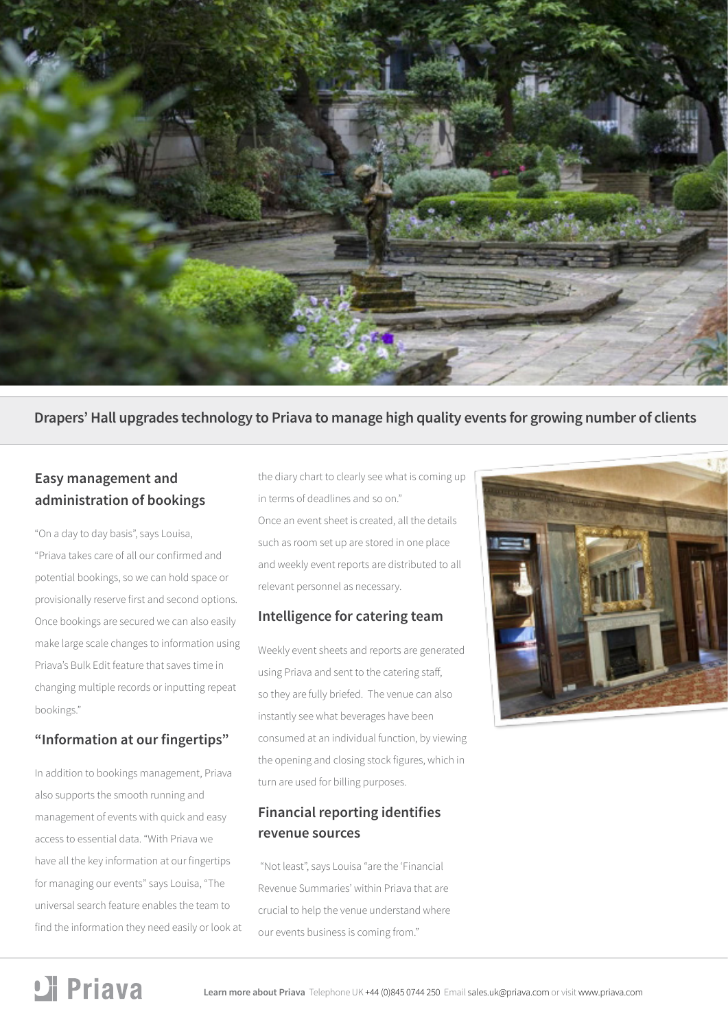

#### **Drapers' Hall upgrades technology to Priava to manage high quality events for growing number of clients**

## **Easy management and administration of bookings**

"On a day to day basis", says Louisa, "Priava takes care of all our confirmed and potential bookings, so we can hold space or provisionally reserve first and second options. Once bookings are secured we can also easily make large scale changes to information using Priava's Bulk Edit feature that saves time in changing multiple records or inputting repeat bookings."

#### **"Information at our fingertips"**

In addition to bookings management, Priava also supports the smooth running and management of events with quick and easy access to essential data. "With Priava we have all the key information at our fingertips for managing our events" says Louisa, "The universal search feature enables the team to find the information they need easily or look at the diary chart to clearly see what is coming up in terms of deadlines and so on." Once an event sheet is created, all the details such as room set up are stored in one place and weekly event reports are distributed to all relevant personnel as necessary.

#### **Intelligence for catering team**

Weekly event sheets and reports are generated using Priava and sent to the catering staff, so they are fully briefed. The venue can also instantly see what beverages have been consumed at an individual function, by viewing the opening and closing stock figures, which in turn are used for billing purposes.

### **Financial reporting identifies revenue sources**

 "Not least", says Louisa "are the 'Financial Revenue Summaries' within Priava that are crucial to help the venue understand where our events business is coming from."